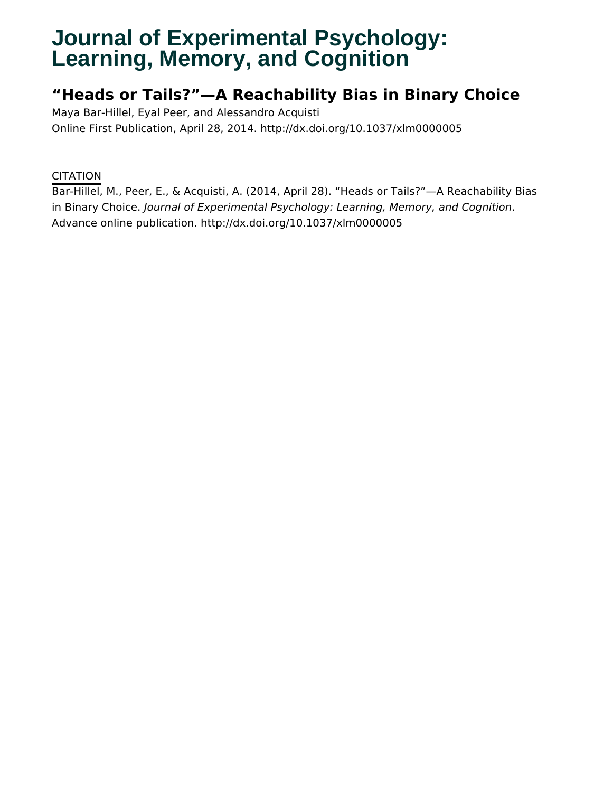# **Journal of Experimental Psychology: Learning, Memory, and Cognition**

## **"Heads or Tails?"—A Reachability Bias in Binary Choice**

Maya Bar-Hillel, Eyal Peer, and Alessandro Acquisti Online First Publication, April 28, 2014. http://dx.doi.org/10.1037/xlm0000005

### **CITATION**

Bar-Hillel, M., Peer, E., & Acquisti, A. (2014, April 28). "Heads or Tails?"—A Reachability Bias in Binary Choice. Journal of Experimental Psychology: Learning, Memory, and Cognition. Advance online publication. http://dx.doi.org/10.1037/xlm0000005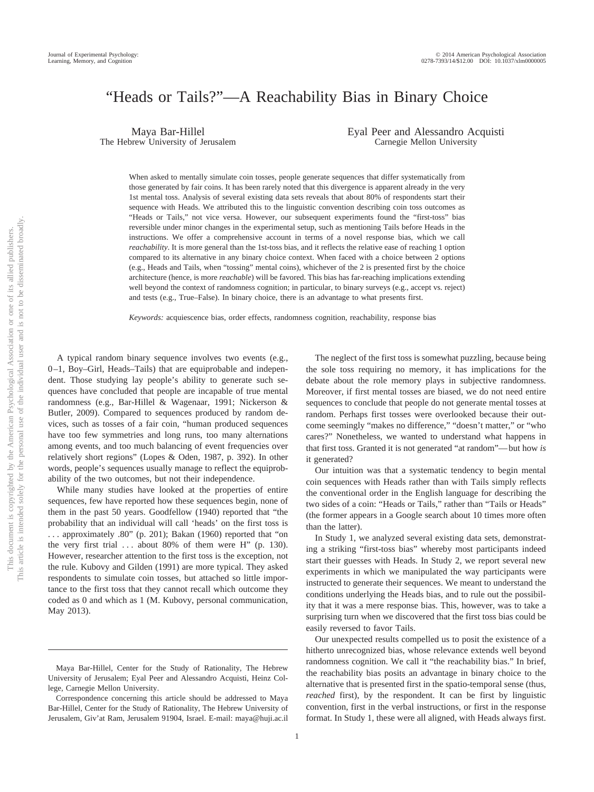## "Heads or Tails?"—A Reachability Bias in Binary Choice

Maya Bar-Hillel The Hebrew University of Jerusalem Eyal Peer and Alessandro Acquisti Carnegie Mellon University

When asked to mentally simulate coin tosses, people generate sequences that differ systematically from those generated by fair coins. It has been rarely noted that this divergence is apparent already in the very 1st mental toss. Analysis of several existing data sets reveals that about 80% of respondents start their sequence with Heads. We attributed this to the linguistic convention describing coin toss outcomes as "Heads or Tails," not vice versa. However, our subsequent experiments found the "first-toss" bias reversible under minor changes in the experimental setup, such as mentioning Tails before Heads in the instructions. We offer a comprehensive account in terms of a novel response bias, which we call *reachability*. It is more general than the 1st-toss bias, and it reflects the relative ease of reaching 1 option compared to its alternative in any binary choice context. When faced with a choice between 2 options (e.g., Heads and Tails, when "tossing" mental coins), whichever of the 2 is presented first by the choice architecture (hence, is more *reachable*) will be favored. This bias has far-reaching implications extending well beyond the context of randomness cognition; in particular, to binary surveys (e.g., accept vs. reject) and tests (e.g., True–False). In binary choice, there is an advantage to what presents first.

*Keywords:* acquiescence bias, order effects, randomness cognition, reachability, response bias

A typical random binary sequence involves two events (e.g., 0 –1, Boy–Girl, Heads–Tails) that are equiprobable and independent. Those studying lay people's ability to generate such sequences have concluded that people are incapable of true mental randomness (e.g., Bar-Hillel & Wagenaar, 1991; Nickerson & Butler, 2009). Compared to sequences produced by random devices, such as tosses of a fair coin, "human produced sequences have too few symmetries and long runs, too many alternations among events, and too much balancing of event frequencies over relatively short regions" (Lopes & Oden, 1987, p. 392). In other words, people's sequences usually manage to reflect the equiprobability of the two outcomes, but not their independence.

While many studies have looked at the properties of entire sequences, few have reported how these sequences begin, none of them in the past 50 years. Goodfellow (1940) reported that "the probability that an individual will call 'heads' on the first toss is . . . approximately .80" (p. 201); Bakan (1960) reported that "on the very first trial ... about 80% of them were H" (p. 130). However, researcher attention to the first toss is the exception, not the rule. Kubovy and Gilden (1991) are more typical. They asked respondents to simulate coin tosses, but attached so little importance to the first toss that they cannot recall which outcome they coded as 0 and which as 1 (M. Kubovy, personal communication, May 2013).

The neglect of the first toss is somewhat puzzling, because being the sole toss requiring no memory, it has implications for the debate about the role memory plays in subjective randomness. Moreover, if first mental tosses are biased, we do not need entire sequences to conclude that people do not generate mental tosses at random. Perhaps first tosses were overlooked because their outcome seemingly "makes no difference," "doesn't matter," or "who cares?" Nonetheless, we wanted to understand what happens in that first toss. Granted it is not generated "at random"— but how *is* it generated?

Our intuition was that a systematic tendency to begin mental coin sequences with Heads rather than with Tails simply reflects the conventional order in the English language for describing the two sides of a coin: "Heads or Tails," rather than "Tails or Heads" (the former appears in a Google search about 10 times more often than the latter).

In Study 1, we analyzed several existing data sets, demonstrating a striking "first-toss bias" whereby most participants indeed start their guesses with Heads. In Study 2, we report several new experiments in which we manipulated the way participants were instructed to generate their sequences. We meant to understand the conditions underlying the Heads bias, and to rule out the possibility that it was a mere response bias. This, however, was to take a surprising turn when we discovered that the first toss bias could be easily reversed to favor Tails.

Our unexpected results compelled us to posit the existence of a hitherto unrecognized bias, whose relevance extends well beyond randomness cognition. We call it "the reachability bias." In brief, the reachability bias posits an advantage in binary choice to the alternative that is presented first in the spatio-temporal sense (thus, *reached* first), by the respondent. It can be first by linguistic convention, first in the verbal instructions, or first in the response format. In Study 1, these were all aligned, with Heads always first.

Maya Bar-Hillel, Center for the Study of Rationality, The Hebrew University of Jerusalem; Eyal Peer and Alessandro Acquisti, Heinz College, Carnegie Mellon University.

Correspondence concerning this article should be addressed to Maya Bar-Hillel, Center for the Study of Rationality, The Hebrew University of Jerusalem, Giv'at Ram, Jerusalem 91904, Israel. E-mail: maya@huji.ac.il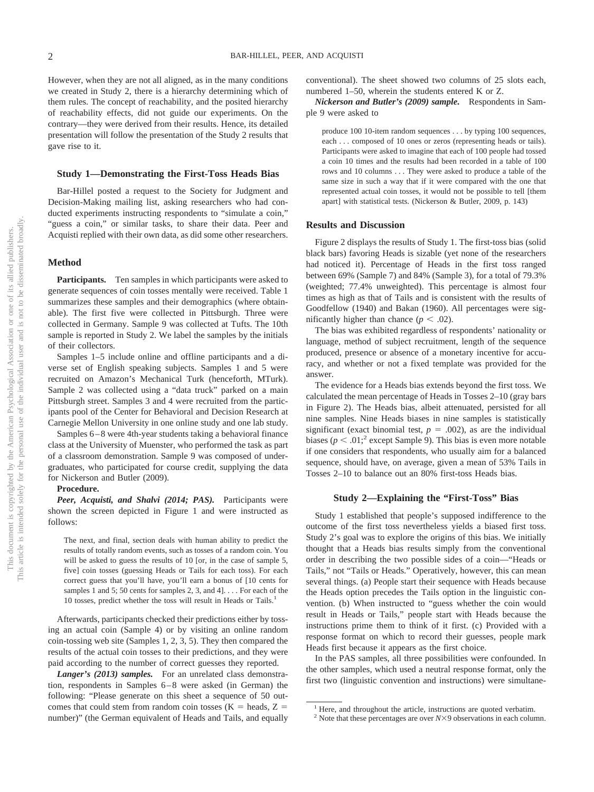However, when they are not all aligned, as in the many conditions we created in Study 2, there is a hierarchy determining which of them rules. The concept of reachability, and the posited hierarchy of reachability effects, did not guide our experiments. On the contrary—they were derived from their results. Hence, its detailed presentation will follow the presentation of the Study 2 results that gave rise to it.

#### **Study 1—Demonstrating the First-Toss Heads Bias**

Bar-Hillel posted a request to the Society for Judgment and Decision-Making mailing list, asking researchers who had conducted experiments instructing respondents to "simulate a coin," "guess a coin," or similar tasks, to share their data. Peer and Acquisti replied with their own data, as did some other researchers.

#### **Method**

Participants. Ten samples in which participants were asked to generate sequences of coin tosses mentally were received. Table 1 summarizes these samples and their demographics (where obtainable). The first five were collected in Pittsburgh. Three were collected in Germany. Sample 9 was collected at Tufts. The 10th sample is reported in Study 2. We label the samples by the initials of their collectors.

Samples 1–5 include online and offline participants and a diverse set of English speaking subjects. Samples 1 and 5 were recruited on Amazon's Mechanical Turk (henceforth, MTurk). Sample 2 was collected using a "data truck" parked on a main Pittsburgh street. Samples 3 and 4 were recruited from the participants pool of the Center for Behavioral and Decision Research at Carnegie Mellon University in one online study and one lab study.

Samples 6–8 were 4th-year students taking a behavioral finance class at the University of Muenster, who performed the task as part of a classroom demonstration. Sample 9 was composed of undergraduates, who participated for course credit, supplying the data for Nickerson and Butler (2009).

#### **Procedure.**

*Peer, Acquisti, and Shalvi (2014; PAS).* Participants were shown the screen depicted in Figure 1 and were instructed as follows:

The next, and final, section deals with human ability to predict the results of totally random events, such as tosses of a random coin. You will be asked to guess the results of 10 [or, in the case of sample 5, five] coin tosses (guessing Heads or Tails for each toss). For each correct guess that you'll have, you'll earn a bonus of [10 cents for samples 1 and 5; 50 cents for samples 2, 3, and 4]. . . . For each of the 10 tosses, predict whether the toss will result in Heads or Tails.<sup>1</sup>

Afterwards, participants checked their predictions either by tossing an actual coin (Sample 4) or by visiting an online random coin-tossing web site (Samples 1, 2, 3, 5). They then compared the results of the actual coin tosses to their predictions, and they were paid according to the number of correct guesses they reported.

*Langer's (2013) samples.* For an unrelated class demonstration, respondents in Samples 6 – 8 were asked (in German) the following: "Please generate on this sheet a sequence of 50 outcomes that could stem from random coin tosses ( $K =$  heads,  $Z =$ number)" (the German equivalent of Heads and Tails, and equally

conventional). The sheet showed two columns of 25 slots each, numbered 1–50, wherein the students entered K or Z.

*Nickerson and Butler's (2009) sample.* Respondents in Sample 9 were asked to

produce 100 10-item random sequences . . . by typing 100 sequences, each . . . composed of 10 ones or zeros (representing heads or tails). Participants were asked to imagine that each of 100 people had tossed a coin 10 times and the results had been recorded in a table of 100 rows and 10 columns . . . They were asked to produce a table of the same size in such a way that if it were compared with the one that represented actual coin tosses, it would not be possible to tell [them apart] with statistical tests. (Nickerson & Butler, 2009, p. 143)

#### **Results and Discussion**

Figure 2 displays the results of Study 1. The first-toss bias (solid black bars) favoring Heads is sizable (yet none of the researchers had noticed it). Percentage of Heads in the first toss ranged between 69% (Sample 7) and 84% (Sample 3), for a total of 79.3% (weighted; 77.4% unweighted). This percentage is almost four times as high as that of Tails and is consistent with the results of Goodfellow (1940) and Bakan (1960). All percentages were significantly higher than chance  $(p < .02)$ .

The bias was exhibited regardless of respondents' nationality or language, method of subject recruitment, length of the sequence produced, presence or absence of a monetary incentive for accuracy, and whether or not a fixed template was provided for the answer.

The evidence for a Heads bias extends beyond the first toss. We calculated the mean percentage of Heads in Tosses 2–10 (gray bars in Figure 2). The Heads bias, albeit attenuated, persisted for all nine samples. Nine Heads biases in nine samples is statistically significant (exact binomial test,  $p = .002$ ), as are the individual biases ( $p < .01$ <sup>2</sup> except Sample 9). This bias is even more notable if one considers that respondents, who usually aim for a balanced sequence, should have, on average, given a mean of 53% Tails in Tosses 2–10 to balance out an 80% first-toss Heads bias.

#### **Study 2—Explaining the "First-Toss" Bias**

Study 1 established that people's supposed indifference to the outcome of the first toss nevertheless yields a biased first toss. Study 2's goal was to explore the origins of this bias. We initially thought that a Heads bias results simply from the conventional order in describing the two possible sides of a coin—"Heads or Tails," not "Tails or Heads." Operatively, however, this can mean several things. (a) People start their sequence with Heads because the Heads option precedes the Tails option in the linguistic convention. (b) When instructed to "guess whether the coin would result in Heads or Tails," people start with Heads because the instructions prime them to think of it first. (c) Provided with a response format on which to record their guesses, people mark Heads first because it appears as the first choice.

In the PAS samples, all three possibilities were confounded. In the other samples, which used a neutral response format, only the first two (linguistic convention and instructions) were simultane-

<sup>&</sup>lt;sup>1</sup> Here, and throughout the article, instructions are quoted verbatim.

<sup>&</sup>lt;sup>2</sup> Note that these percentages are over  $N \times 9$  observations in each column.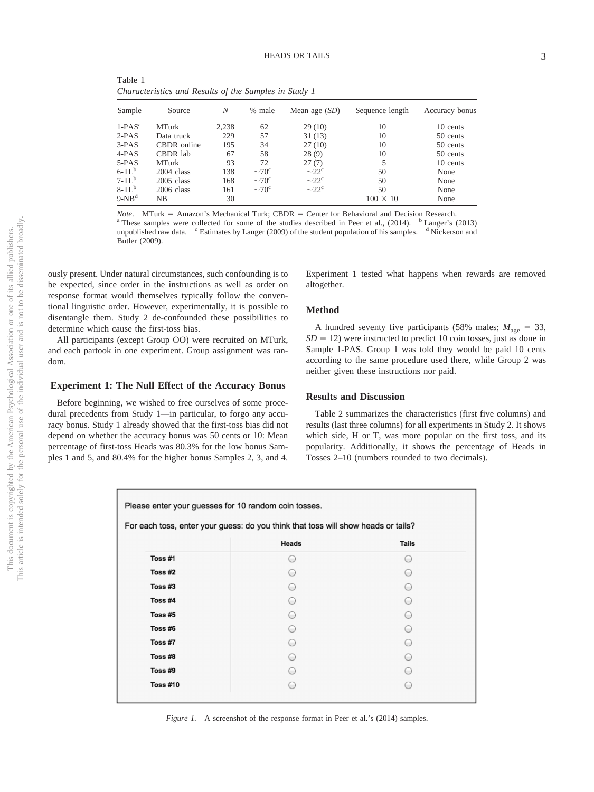Table 1 *Characteristics and Results of the Samples in Study 1*

| Sample    | Source       | N     | % male            | Mean age $(SD)$        | Sequence length | Accuracy bonus |
|-----------|--------------|-------|-------------------|------------------------|-----------------|----------------|
| $1-PAS^a$ | <b>MTurk</b> | 2,238 | 62                | 29(10)                 | 10              | 10 cents       |
| $2-PAS$   | Data truck   | 229   | 57                | 31(13)                 | 10              | 50 cents       |
| $3-PAS$   | CBDR online  | 195   | 34                | 27(10)                 | 10              | 50 cents       |
| 4-PAS     | CBDR lab     | 67    | 58                | 28(9)                  | 10              | 50 cents       |
| $5-PAS$   | <b>MTurk</b> | 93    | 72                | 27(7)                  |                 | 10 cents       |
| $6-TLb$   | $2004$ class | 138   | $\sim 70^{\circ}$ | $-22^{\circ}$          | 50              | None           |
| $7-TLb$   | $2005$ class | 168   | $~10^{\circ}$     | $\sim$ 22 <sup>c</sup> | 50              | None           |
| $8-TLb$   | $2006$ class | 161   | $\sim 70^{\circ}$ | $\sim$ 22 <sup>c</sup> | 50              | None           |
| $9-NBd$   | <b>NB</b>    | 30    |                   |                        | $100 \times 10$ | None           |

*Note*. MTurk = Amazon's Mechanical Turk; CBDR = <sup>a</sup> These samples were collected for some of the studies described in Peer et al., (2014). <sup>b</sup> Langer's (2013) unpublished raw data. <sup>c</sup> Estimates by Langer (2009) of the student population of his samples. <sup>d</sup> Nickerson and Butler (2009).

ously present. Under natural circumstances, such confounding is to be expected, since order in the instructions as well as order on response format would themselves typically follow the conventional linguistic order. However, experimentally, it is possible to disentangle them. Study 2 de-confounded these possibilities to determine which cause the first-toss bias.

All participants (except Group OO) were recruited on MTurk, and each partook in one experiment. Group assignment was random.

#### **Experiment 1: The Null Effect of the Accuracy Bonus**

Before beginning, we wished to free ourselves of some procedural precedents from Study 1—in particular, to forgo any accuracy bonus. Study 1 already showed that the first-toss bias did not depend on whether the accuracy bonus was 50 cents or 10: Mean percentage of first-toss Heads was 80.3% for the low bonus Samples 1 and 5, and 80.4% for the higher bonus Samples 2, 3, and 4.

Experiment 1 tested what happens when rewards are removed altogether.

#### **Method**

A hundred seventy five participants (58% males;  $M_{\text{age}} = 33$ ,  $SD = 12$ ) were instructed to predict 10 coin tosses, just as done in Sample 1-PAS. Group 1 was told they would be paid 10 cents according to the same procedure used there, while Group 2 was neither given these instructions nor paid.

#### **Results and Discussion**

Table 2 summarizes the characteristics (first five columns) and results (last three columns) for all experiments in Study 2. It shows which side, H or T, was more popular on the first toss, and its popularity. Additionally, it shows the percentage of Heads in Tosses 2–10 (numbers rounded to two decimals).

| For each toss, enter your guess: do you think that toss will show heads or tails? |                |  |  |  |  |  |  |
|-----------------------------------------------------------------------------------|----------------|--|--|--|--|--|--|
|                                                                                   | Heads<br>Tails |  |  |  |  |  |  |
| Toss #1                                                                           | $\overline{a}$ |  |  |  |  |  |  |
| Toss #2                                                                           |                |  |  |  |  |  |  |
| Toss $#3$                                                                         |                |  |  |  |  |  |  |
| Toss #4                                                                           | ⊂              |  |  |  |  |  |  |
| Toss #5                                                                           |                |  |  |  |  |  |  |
| Toss #6                                                                           |                |  |  |  |  |  |  |
| Toss #7                                                                           |                |  |  |  |  |  |  |
| Toss #8                                                                           |                |  |  |  |  |  |  |
| Toss #9                                                                           |                |  |  |  |  |  |  |
| <b>Toss #10</b>                                                                   |                |  |  |  |  |  |  |

*Figure 1.* A screenshot of the response format in Peer et al.'s (2014) samples.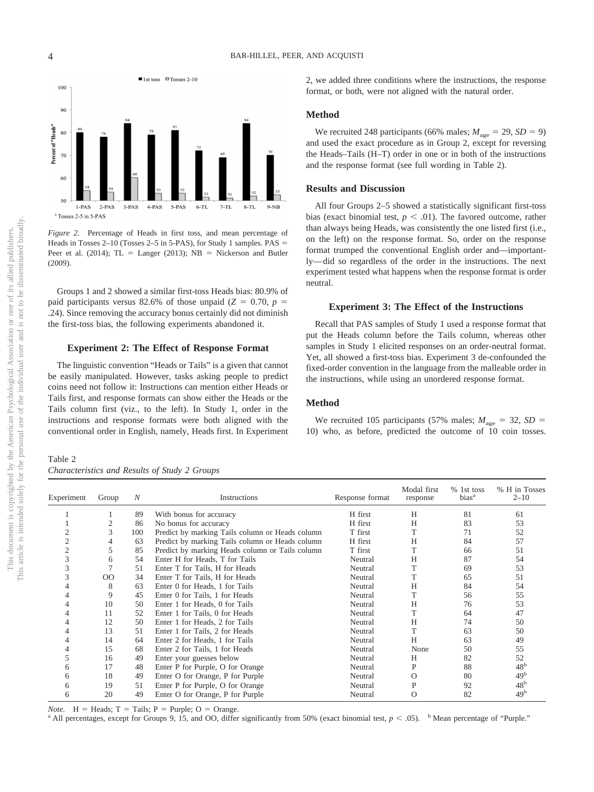

*Figure 2.* Percentage of Heads in first toss, and mean percentage of Heads in Tosses  $2-10$  (Tosses  $2-5$  in 5-PAS), for Study 1 samples. PAS = Peer et al.  $(2014)$ ; TL = Langer  $(2013)$ ; NB = Nickerson and Butler (2009).

Groups 1 and 2 showed a similar first-toss Heads bias: 80.9% of paid participants versus 82.6% of those unpaid  $(Z = 0.70, p =$ .24). Since removing the accuracy bonus certainly did not diminish the first-toss bias, the following experiments abandoned it.

#### **Experiment 2: The Effect of Response Format**

The linguistic convention "Heads or Tails" is a given that cannot be easily manipulated. However, tasks asking people to predict coins need not follow it: Instructions can mention either Heads or Tails first, and response formats can show either the Heads or the Tails column first (viz., to the left). In Study 1, order in the instructions and response formats were both aligned with the conventional order in English, namely, Heads first. In Experiment

Table 2 *Characteristics and Results of Study 2 Groups*

2, we added three conditions where the instructions, the response format, or both, were not aligned with the natural order.

#### **Method**

We recruited 248 participants (66% males;  $M_{\text{age}} = 29$ ,  $SD = 9$ ) and used the exact procedure as in Group 2, except for reversing the Heads–Tails (H–T) order in one or in both of the instructions and the response format (see full wording in Table 2).

#### **Results and Discussion**

All four Groups 2–5 showed a statistically significant first-toss bias (exact binomial test,  $p < .01$ ). The favored outcome, rather than always being Heads, was consistently the one listed first (i.e., on the left) on the response format. So, order on the response format trumped the conventional English order and—importantly— did so regardless of the order in the instructions. The next experiment tested what happens when the response format is order neutral.

#### **Experiment 3: The Effect of the Instructions**

Recall that PAS samples of Study 1 used a response format that put the Heads column before the Tails column, whereas other samples in Study 1 elicited responses on an order-neutral format. Yet, all showed a first-toss bias. Experiment 3 de-confounded the fixed-order convention in the language from the malleable order in the instructions, while using an unordered response format.

#### **Method**

We recruited 105 participants (57% males;  $M_{\text{age}} = 32$ ,  $SD =$ 10) who, as before, predicted the outcome of 10 coin tosses.

| Experiment | Group       | N   | Instructions                                    | Response format | Modal first<br>response<br>Н | $%$ 1st toss<br>bias <sup>a</sup><br>81 | % H in Tosses<br>$2 - 10$<br>61 |
|------------|-------------|-----|-------------------------------------------------|-----------------|------------------------------|-----------------------------------------|---------------------------------|
|            |             | 89  | With bonus for accuracy                         | H first         |                              |                                         |                                 |
|            |             | 86  | No bonus for accuracy                           | H first         | H                            | 83                                      | 53                              |
|            | 3           | 100 | Predict by marking Tails column or Heads column | T first         |                              | 71                                      | 52                              |
| 2          |             | 63  | Predict by marking Tails column or Heads column | H first         | Н                            | 84                                      | 57                              |
| 2          |             | 85  | Predict by marking Heads column or Tails column | T first         |                              | 66                                      | 51                              |
| 3          | 6           | 54  | Enter H for Heads, T for Tails                  | Neutral         | H                            | 87                                      | 54                              |
| 3          |             | 51  | Enter T for Tails, H for Heads                  | Neutral         |                              | 69                                      | 53                              |
| 3          | $_{\rm OO}$ | 34  | Enter T for Tails, H for Heads                  | Neutral         |                              | 65                                      | 51                              |
|            | 8           | 63  | Enter 0 for Heads, 1 for Tails                  | Neutral         | Н                            | 84                                      | 54                              |
|            | 9           | 45  | Enter 0 for Tails, 1 for Heads                  | Neutral         |                              | 56                                      | 55                              |
|            | 10          | 50  | Enter 1 for Heads, 0 for Tails                  | Neutral         | Н                            | 76                                      | 53                              |
|            | 11          | 52  | Enter 1 for Tails, 0 for Heads                  | Neutral         |                              | 64                                      | 47                              |
|            | 12          | 50  | Enter 1 for Heads, 2 for Tails                  | Neutral         | Н                            | 74                                      | 50                              |
|            | 13          | 51  | Enter 1 for Tails, 2 for Heads                  | Neutral         |                              | 63                                      | 50                              |
|            | 14          | 64  | Enter 2 for Heads, 1 for Tails                  | Neutral         | H                            | 63                                      | 49                              |
|            | 15          | 68  | Enter 2 for Tails, 1 for Heads                  | Neutral         | None                         | 50                                      | 55                              |
|            | 16          | 49  | Enter your guesses below                        | Neutral         | Н                            | 82                                      | 52                              |
| 6          | 17          | 48  | Enter P for Purple, O for Orange                | Neutral         | P                            | 88                                      | 48 <sup>b</sup>                 |
| h.         | 18          | 49  | Enter O for Orange, P for Purple                | Neutral         | O                            | 80                                      | 49 <sup>b</sup>                 |
|            | 19          | 51  | Enter P for Purple, O for Orange                | Neutral         | P                            | 92                                      | 48 <sup>b</sup>                 |
| 6          | 20          | 49  | Enter O for Orange, P for Purple                | Neutral         | O                            | 82                                      | 49 <sup>b</sup>                 |

*Note.*  $H = \text{Heads}$ ;  $T = \text{Tails}$ ;  $P = \text{Purple}$ ;  $O =$ 

<sup>a</sup> All percentages, except for Groups 9, 15, and OO, differ significantly from 50% (exact binomial test,  $p \le 0.05$ ). <sup>b</sup> Mean percentage of "Purple."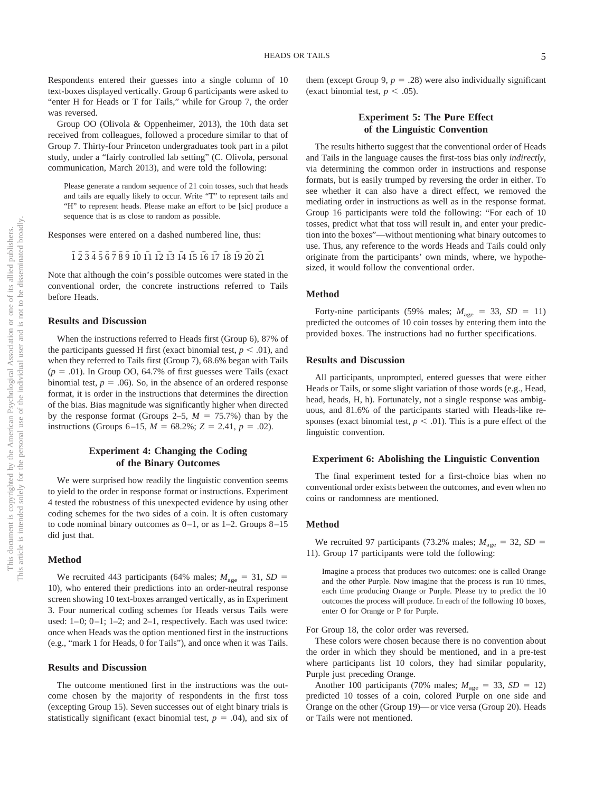Respondents entered their guesses into a single column of 10 text-boxes displayed vertically. Group 6 participants were asked to "enter H for Heads or T for Tails," while for Group 7, the order was reversed.

Group OO (Olivola & Oppenheimer, 2013), the 10th data set received from colleagues, followed a procedure similar to that of Group 7. Thirty-four Princeton undergraduates took part in a pilot study, under a "fairly controlled lab setting" (C. Olivola, personal communication, March 2013), and were told the following:

Please generate a random sequence of 21 coin tosses, such that heads and tails are equally likely to occur. Write "T" to represent tails and "H" to represent heads. Please make an effort to be [sic] produce a sequence that is as close to random as possible.

Responses were entered on a dashed numbered line, thus:

$$
\overline{1}\,\overline{2}\,\overline{3}\,\overline{4}\,\overline{5}\,\overline{6}\,\overline{7}\,\overline{8}\,\overline{9}\,\overline{10}\,\overline{11}\,\overline{12}\,\overline{13}\,\overline{14}\,\overline{15}\,\overline{16}\,\overline{17}\,\overline{18}\,\overline{19}\,\overline{20}\,\overline{21}
$$

Note that although the coin's possible outcomes were stated in the conventional order, the concrete instructions referred to Tails before Heads.

#### **Results and Discussion**

When the instructions referred to Heads first (Group 6), 87% of the participants guessed H first (exact binomial test,  $p < .01$ ), and when they referred to Tails first (Group 7), 68.6% began with Tails  $(p = .01)$ . In Group OO, 64.7% of first guesses were Tails (exact binomial test,  $p = .06$ ). So, in the absence of an ordered response format, it is order in the instructions that determines the direction of the bias. Bias magnitude was significantly higher when directed by the response format (Groups  $2-5$ ,  $M = 75.7\%$ ) than by the instructions (Groups  $6-15$ ,  $M = 68.2\%$ ;  $Z = 2.41$ ,  $p = .02$ ).

#### **Experiment 4: Changing the Coding of the Binary Outcomes**

We were surprised how readily the linguistic convention seems to yield to the order in response format or instructions. Experiment 4 tested the robustness of this unexpected evidence by using other coding schemes for the two sides of a coin. It is often customary to code nominal binary outcomes as  $0-1$ , or as  $1-2$ . Groups  $8-15$ did just that.

#### **Method**

We recruited 443 participants (64% males;  $M_{\text{age}} = 31$ ,  $SD =$ 10), who entered their predictions into an order-neutral response screen showing 10 text-boxes arranged vertically, as in Experiment 3. Four numerical coding schemes for Heads versus Tails were used:  $1-0$ ;  $0-1$ ;  $1-2$ ; and  $2-1$ , respectively. Each was used twice: once when Heads was the option mentioned first in the instructions (e.g., "mark 1 for Heads, 0 for Tails"), and once when it was Tails.

#### **Results and Discussion**

The outcome mentioned first in the instructions was the outcome chosen by the majority of respondents in the first toss (excepting Group 15). Seven successes out of eight binary trials is statistically significant (exact binomial test,  $p = .04$ ), and six of

them (except Group  $9, p = .28$ ) were also individually significant (exact binomial test,  $p < .05$ ).

#### **Experiment 5: The Pure Effect of the Linguistic Convention**

The results hitherto suggest that the conventional order of Heads and Tails in the language causes the first-toss bias only *indirectly*, via determining the common order in instructions and response formats, but is easily trumped by reversing the order in either. To see whether it can also have a direct effect, we removed the mediating order in instructions as well as in the response format. Group 16 participants were told the following: "For each of 10 tosses, predict what that toss will result in, and enter your prediction into the boxes"—without mentioning what binary outcomes to use. Thus, any reference to the words Heads and Tails could only originate from the participants' own minds, where, we hypothesized, it would follow the conventional order.

#### **Method**

Forty-nine participants (59% males;  $M_{\text{age}} = 33$ ,  $SD = 11$ ) predicted the outcomes of 10 coin tosses by entering them into the provided boxes. The instructions had no further specifications.

#### **Results and Discussion**

All participants, unprompted, entered guesses that were either Heads or Tails, or some slight variation of those words (e.g., Head, head, heads, H, h). Fortunately, not a single response was ambiguous, and 81.6% of the participants started with Heads-like responses (exact binomial test,  $p < .01$ ). This is a pure effect of the linguistic convention.

#### **Experiment 6: Abolishing the Linguistic Convention**

The final experiment tested for a first-choice bias when no conventional order exists between the outcomes, and even when no coins or randomness are mentioned.

#### **Method**

We recruited 97 participants (73.2% males;  $M_{\text{age}} = 32$ ,  $SD =$ 11). Group 17 participants were told the following:

Imagine a process that produces two outcomes: one is called Orange and the other Purple. Now imagine that the process is run 10 times, each time producing Orange or Purple. Please try to predict the 10 outcomes the process will produce. In each of the following 10 boxes, enter O for Orange or P for Purple.

For Group 18, the color order was reversed.

These colors were chosen because there is no convention about the order in which they should be mentioned, and in a pre-test where participants list 10 colors, they had similar popularity, Purple just preceding Orange.

Another 100 participants (70% males;  $M_{\text{age}} = 33$ ,  $SD = 12$ ) predicted 10 tosses of a coin, colored Purple on one side and Orange on the other (Group 19)— or vice versa (Group 20). Heads or Tails were not mentioned.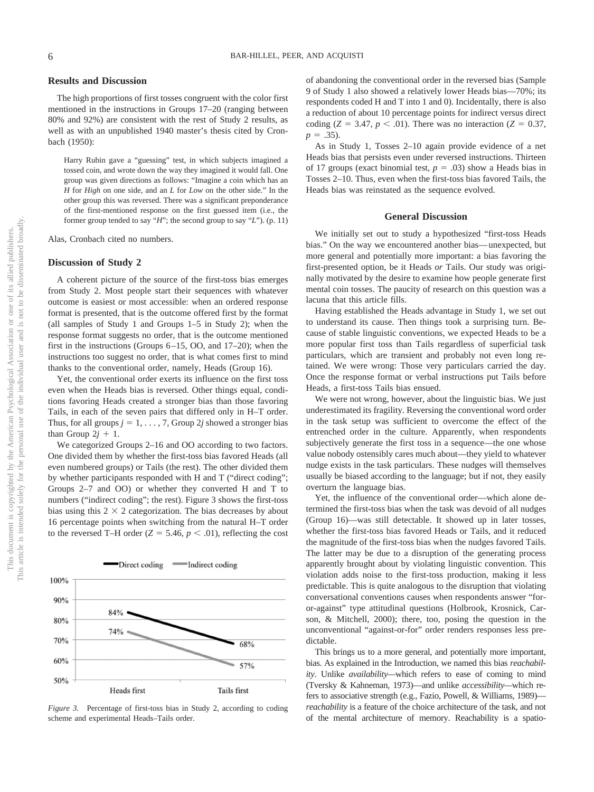#### **Results and Discussion**

The high proportions of first tosses congruent with the color first mentioned in the instructions in Groups 17–20 (ranging between 80% and 92%) are consistent with the rest of Study 2 results, as well as with an unpublished 1940 master's thesis cited by Cronbach (1950):

Harry Rubin gave a "guessing" test, in which subjects imagined a tossed coin, and wrote down the way they imagined it would fall. One group was given directions as follows: "Imagine a coin which has an *H* for *High* on one side, and an *L* for *Low* on the other side." In the other group this was reversed. There was a significant preponderance of the first-mentioned response on the first guessed item (i.e., the former group tended to say "*H*"; the second group to say "*L*"). (p. 11)

Alas, Cronbach cited no numbers.

#### **Discussion of Study 2**

A coherent picture of the source of the first-toss bias emerges from Study 2. Most people start their sequences with whatever outcome is easiest or most accessible: when an ordered response format is presented, that is the outcome offered first by the format (all samples of Study 1 and Groups 1–5 in Study 2); when the response format suggests no order, that is the outcome mentioned first in the instructions (Groups  $6-15$ , OO, and  $17-20$ ); when the instructions too suggest no order, that is what comes first to mind thanks to the conventional order, namely, Heads (Group 16).

Yet, the conventional order exerts its influence on the first toss even when the Heads bias is reversed. Other things equal, conditions favoring Heads created a stronger bias than those favoring Tails, in each of the seven pairs that differed only in H–T order. Thus, for all groups  $j = 1, \ldots, 7$ , Group 2*j* showed a stronger bias than Group  $2j + 1$ .

We categorized Groups 2–16 and OO according to two factors. One divided them by whether the first-toss bias favored Heads (all even numbered groups) or Tails (the rest). The other divided them by whether participants responded with H and T ("direct coding"; Groups 2–7 and OO) or whether they converted H and T to numbers ("indirect coding"; the rest). Figure 3 shows the first-toss bias using this  $2 \times 2$  categorization. The bias decreases by about 16 percentage points when switching from the natural H–T order to the reversed T–H order  $(Z = 5.46, p < .01)$ , reflecting the cost



*Figure 3.* Percentage of first-toss bias in Study 2, according to coding scheme and experimental Heads–Tails order.

of abandoning the conventional order in the reversed bias (Sample 9 of Study 1 also showed a relatively lower Heads bias—70%; its respondents coded H and T into 1 and 0). Incidentally, there is also a reduction of about 10 percentage points for indirect versus direct coding  $(Z = 3.47, p < .01)$ . There was no interaction  $(Z = 0.37,$  $p = .35$ ).

As in Study 1, Tosses 2–10 again provide evidence of a net Heads bias that persists even under reversed instructions. Thirteen of 17 groups (exact binomial test,  $p = .03$ ) show a Heads bias in Tosses 2–10. Thus, even when the first-toss bias favored Tails, the Heads bias was reinstated as the sequence evolved.

#### **General Discussion**

We initially set out to study a hypothesized "first-toss Heads bias." On the way we encountered another bias— unexpected, but more general and potentially more important: a bias favoring the first-presented option, be it Heads *or* Tails. Our study was originally motivated by the desire to examine how people generate first mental coin tosses. The paucity of research on this question was a lacuna that this article fills.

Having established the Heads advantage in Study 1, we set out to understand its cause. Then things took a surprising turn. Because of stable linguistic conventions, we expected Heads to be a more popular first toss than Tails regardless of superficial task particulars, which are transient and probably not even long retained. We were wrong: Those very particulars carried the day. Once the response format or verbal instructions put Tails before Heads, a first-toss Tails bias ensued.

We were not wrong, however, about the linguistic bias. We just underestimated its fragility. Reversing the conventional word order in the task setup was sufficient to overcome the effect of the entrenched order in the culture. Apparently, when respondents subjectively generate the first toss in a sequence—the one whose value nobody ostensibly cares much about—they yield to whatever nudge exists in the task particulars. These nudges will themselves usually be biased according to the language; but if not, they easily overturn the language bias.

Yet, the influence of the conventional order—which alone determined the first-toss bias when the task was devoid of all nudges (Group 16)—was still detectable. It showed up in later tosses, whether the first-toss bias favored Heads or Tails, and it reduced the magnitude of the first-toss bias when the nudges favored Tails. The latter may be due to a disruption of the generating process apparently brought about by violating linguistic convention. This violation adds noise to the first-toss production, making it less predictable. This is quite analogous to the disruption that violating conversational conventions causes when respondents answer "foror-against" type attitudinal questions (Holbrook, Krosnick, Carson, & Mitchell, 2000); there, too, posing the question in the unconventional "against-or-for" order renders responses less predictable.

This brings us to a more general, and potentially more important, bias. As explained in the Introduction, we named this bias *reachability*. Unlike *availability—*which refers to ease of coming to mind (Tversky & Kahneman, 1973)—and unlike *accessibility—*which refers to associative strength (e.g., Fazio, Powell, & Williams, 1989) *reachability* is a feature of the choice architecture of the task, and not of the mental architecture of memory. Reachability is a spatio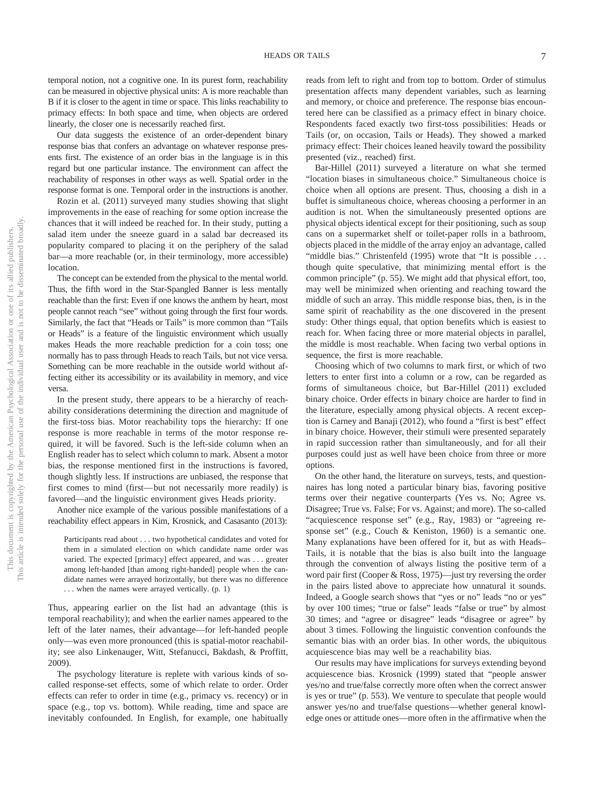temporal notion, not a cognitive one. In its purest form, reachability can be measured in objective physical units: A is more reachable than B if it is closer to the agent in time or space. This links reachability to primacy effects: In both space and time, when objects are ordered linearly, the closer one is necessarily reached first.

Our data suggests the existence of an order-dependent binary response bias that confers an advantage on whatever response presents first. The existence of an order bias in the language is in this regard but one particular instance. The environment can affect the reachability of responses in other ways as well. Spatial order in the response format is one. Temporal order in the instructions is another.

Rozin et al. (2011) surveyed many studies showing that slight improvements in the ease of reaching for some option increase the chances that it will indeed be reached for. In their study, putting a salad item under the sneeze guard in a salad bar decreased its popularity compared to placing it on the periphery of the salad bar—a more reachable (or, in their terminology, more accessible) location.

The concept can be extended from the physical to the mental world. Thus, the fifth word in the Star-Spangled Banner is less mentally reachable than the first: Even if one knows the anthem by heart, most people cannot reach "see" without going through the first four words. Similarly, the fact that "Heads or Tails" is more common than "Tails or Heads" is a feature of the linguistic environment which usually makes Heads the more reachable prediction for a coin toss; one normally has to pass through Heads to reach Tails, but not vice versa. Something can be more reachable in the outside world without affecting either its accessibility or its availability in memory, and vice versa.

In the present study, there appears to be a hierarchy of reachability considerations determining the direction and magnitude of the first-toss bias. Motor reachability tops the hierarchy: If one response is more reachable in terms of the motor response required, it will be favored. Such is the left-side column when an English reader has to select which column to mark. Absent a motor bias, the response mentioned first in the instructions is favored, though slightly less. If instructions are unbiased, the response that first comes to mind (first— but not necessarily more readily) is favored—and the linguistic environment gives Heads priority.

Another nice example of the various possible manifestations of a reachability effect appears in Kim, Krosnick, and Casasanto (2013):

Participants read about . . . two hypothetical candidates and voted for them in a simulated election on which candidate name order was varied. The expected [primacy] effect appeared, and was . . . greater among left-handed [than among right-handed] people when the candidate names were arrayed horizontally, but there was no difference . . . when the names were arrayed vertically. (p. 1)

Thus, appearing earlier on the list had an advantage (this is temporal reachability); and when the earlier names appeared to the left of the later names, their advantage—for left-handed people only—was even more pronounced (this is spatial-motor reachability; see also Linkenauger, Witt, Stefanucci, Bakdash, & Proffitt, 2009).

The psychology literature is replete with various kinds of socalled response-set effects, some of which relate to order. Order effects can refer to order in time (e.g., primacy vs. recency) or in space (e.g., top vs. bottom). While reading, time and space are inevitably confounded. In English, for example, one habitually reads from left to right and from top to bottom. Order of stimulus presentation affects many dependent variables, such as learning and memory, or choice and preference. The response bias encountered here can be classified as a primacy effect in binary choice. Respondents faced exactly two first-toss possibilities: Heads or Tails (or, on occasion, Tails or Heads). They showed a marked primacy effect: Their choices leaned heavily toward the possibility presented (viz., reached) first.

Bar-Hillel (2011) surveyed a literature on what she termed "location biases in simultaneous choice." Simultaneous choice is choice when all options are present. Thus, choosing a dish in a buffet is simultaneous choice, whereas choosing a performer in an audition is not. When the simultaneously presented options are physical objects identical except for their positioning, such as soup cans on a supermarket shelf or toilet-paper rolls in a bathroom, objects placed in the middle of the array enjoy an advantage, called "middle bias." Christenfeld (1995) wrote that "It is possible ... though quite speculative, that minimizing mental effort is the common principle" (p. 55). We might add that physical effort, too, may well be minimized when orienting and reaching toward the middle of such an array. This middle response bias, then, is in the same spirit of reachability as the one discovered in the present study: Other things equal, that option benefits which is easiest to reach for. When facing three or more material objects in parallel, the middle is most reachable. When facing two verbal options in sequence, the first is more reachable.

Choosing which of two columns to mark first, or which of two letters to enter first into a column or a row, can be regarded as forms of simultaneous choice, but Bar-Hillel (2011) excluded binary choice. Order effects in binary choice are harder to find in the literature, especially among physical objects. A recent exception is Carney and Banaji (2012), who found a "first is best" effect in binary choice. However, their stimuli were presented separately in rapid succession rather than simultaneously, and for all their purposes could just as well have been choice from three or more options.

On the other hand, the literature on surveys, tests, and questionnaires has long noted a particular binary bias, favoring positive terms over their negative counterparts (Yes vs. No; Agree vs. Disagree; True vs. False; For vs. Against; and more). The so-called "acquiescence response set" (e.g., Ray, 1983) or "agreeing response set" (e.g., Couch & Keniston, 1960) is a semantic one. Many explanations have been offered for it, but as with Heads– Tails, it is notable that the bias is also built into the language through the convention of always listing the positive term of a word pair first (Cooper & Ross, 1975)—just try reversing the order in the pairs listed above to appreciate how unnatural it sounds. Indeed, a Google search shows that "yes or no" leads "no or yes" by over 100 times; "true or false" leads "false or true" by almost 30 times; and "agree or disagree" leads "disagree or agree" by about 3 times. Following the linguistic convention confounds the semantic bias with an order bias. In other words, the ubiquitous acquiescence bias may well be a reachability bias.

Our results may have implications for surveys extending beyond acquiescence bias. Krosnick (1999) stated that "people answer yes/no and true/false correctly more often when the correct answer is yes or true" (p. 553). We venture to speculate that people would answer yes/no and true/false questions—whether general knowledge ones or attitude ones—more often in the affirmative when the